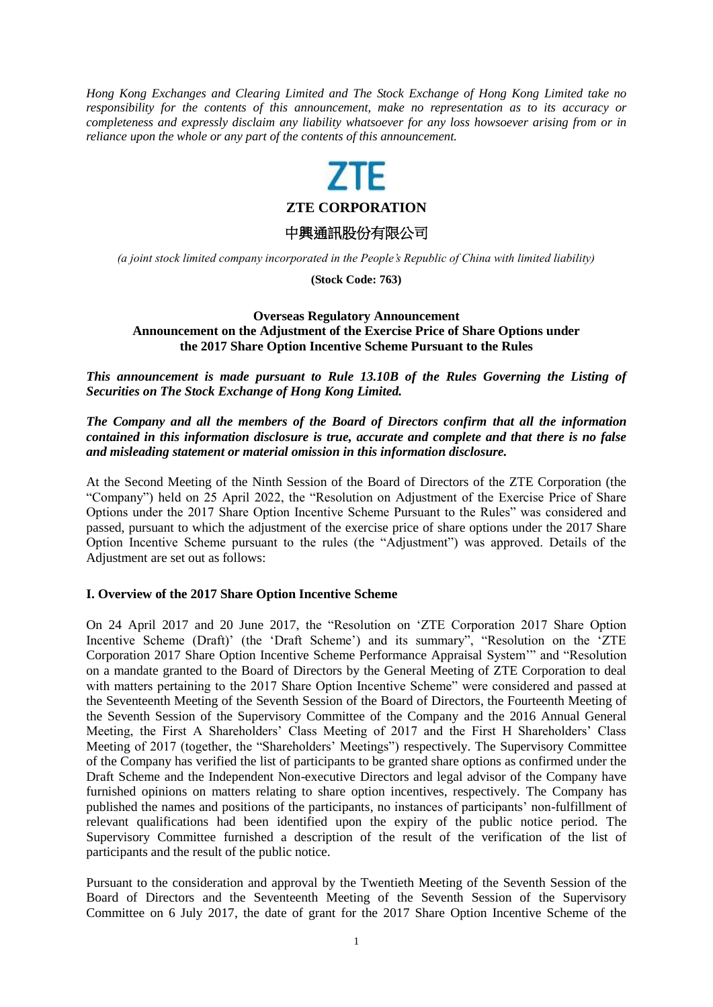*Hong Kong Exchanges and Clearing Limited and The Stock Exchange of Hong Kong Limited take no responsibility for the contents of this announcement, make no representation as to its accuracy or completeness and expressly disclaim any liability whatsoever for any loss howsoever arising from or in reliance upon the whole or any part of the contents of this announcement.*

**ZTE CORPORATION**

中興通訊股份有限公司

*(a joint stock limited company incorporated in the People's Republic of China with limited liability)*

**(Stock Code: 763)**

# **Overseas Regulatory Announcement Announcement on the Adjustment of the Exercise Price of Share Options under the 2017 Share Option Incentive Scheme Pursuant to the Rules**

*This announcement is made pursuant to Rule 13.10B of the Rules Governing the Listing of Securities on The Stock Exchange of Hong Kong Limited.*

## *The Company and all the members of the Board of Directors confirm that all the information contained in this information disclosure is true, accurate and complete and that there is no false and misleading statement or material omission in this information disclosure.*

At the Second Meeting of the Ninth Session of the Board of Directors of the ZTE Corporation (the "Company") held on 25 April 2022, the "Resolution on Adjustment of the Exercise Price of Share Options under the 2017 Share Option Incentive Scheme Pursuant to the Rules" was considered and passed, pursuant to which the adjustment of the exercise price of share options under the 2017 Share Option Incentive Scheme pursuant to the rules (the "Adjustment") was approved. Details of the Adjustment are set out as follows:

### **I. Overview of the 2017 Share Option Incentive Scheme**

On 24 April 2017 and 20 June 2017, the "Resolution on 'ZTE Corporation 2017 Share Option Incentive Scheme (Draft)' (the 'Draft Scheme') and its summary", "Resolution on the 'ZTE Corporation 2017 Share Option Incentive Scheme Performance Appraisal System'" and "Resolution on a mandate granted to the Board of Directors by the General Meeting of ZTE Corporation to deal with matters pertaining to the 2017 Share Option Incentive Scheme" were considered and passed at the Seventeenth Meeting of the Seventh Session of the Board of Directors, the Fourteenth Meeting of the Seventh Session of the Supervisory Committee of the Company and the 2016 Annual General Meeting, the First A Shareholders' Class Meeting of 2017 and the First H Shareholders' Class Meeting of 2017 (together, the "Shareholders' Meetings") respectively. The Supervisory Committee of the Company has verified the list of participants to be granted share options as confirmed under the Draft Scheme and the Independent Non-executive Directors and legal advisor of the Company have furnished opinions on matters relating to share option incentives, respectively. The Company has published the names and positions of the participants, no instances of participants' non-fulfillment of relevant qualifications had been identified upon the expiry of the public notice period. The Supervisory Committee furnished a description of the result of the verification of the list of participants and the result of the public notice.

Pursuant to the consideration and approval by the Twentieth Meeting of the Seventh Session of the Board of Directors and the Seventeenth Meeting of the Seventh Session of the Supervisory Committee on 6 July 2017, the date of grant for the 2017 Share Option Incentive Scheme of the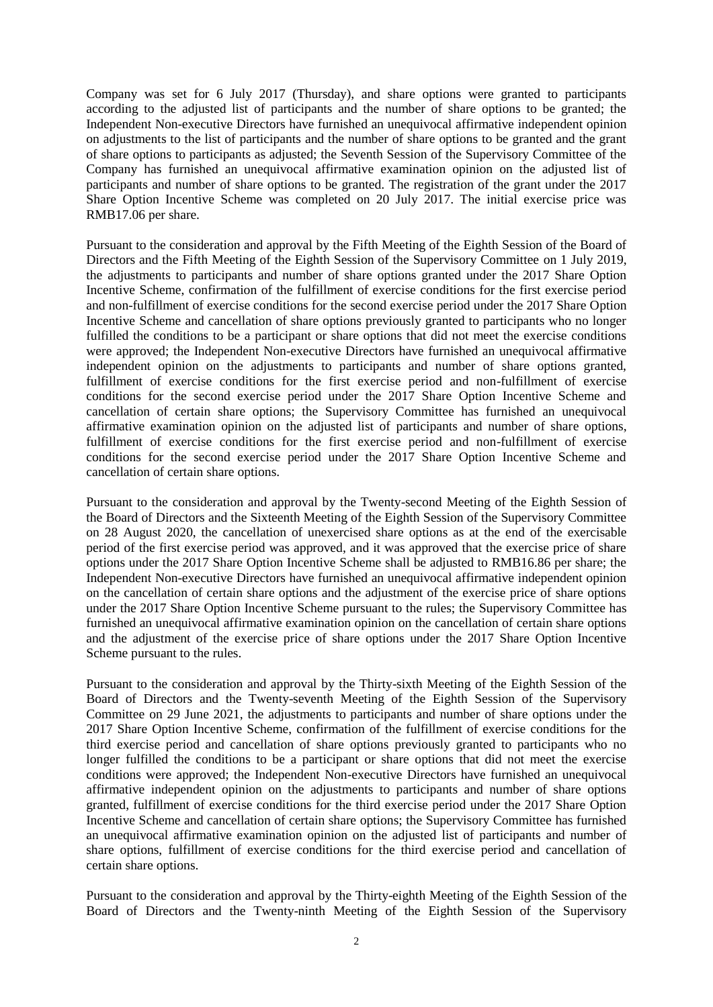Company was set for 6 July 2017 (Thursday), and share options were granted to participants according to the adjusted list of participants and the number of share options to be granted; the Independent Non-executive Directors have furnished an unequivocal affirmative independent opinion on adjustments to the list of participants and the number of share options to be granted and the grant of share options to participants as adjusted; the Seventh Session of the Supervisory Committee of the Company has furnished an unequivocal affirmative examination opinion on the adjusted list of participants and number of share options to be granted. The registration of the grant under the 2017 Share Option Incentive Scheme was completed on 20 July 2017. The initial exercise price was RMB17.06 per share.

Pursuant to the consideration and approval by the Fifth Meeting of the Eighth Session of the Board of Directors and the Fifth Meeting of the Eighth Session of the Supervisory Committee on 1 July 2019, the adjustments to participants and number of share options granted under the 2017 Share Option Incentive Scheme, confirmation of the fulfillment of exercise conditions for the first exercise period and non-fulfillment of exercise conditions for the second exercise period under the 2017 Share Option Incentive Scheme and cancellation of share options previously granted to participants who no longer fulfilled the conditions to be a participant or share options that did not meet the exercise conditions were approved; the Independent Non-executive Directors have furnished an unequivocal affirmative independent opinion on the adjustments to participants and number of share options granted, fulfillment of exercise conditions for the first exercise period and non-fulfillment of exercise conditions for the second exercise period under the 2017 Share Option Incentive Scheme and cancellation of certain share options; the Supervisory Committee has furnished an unequivocal affirmative examination opinion on the adjusted list of participants and number of share options, fulfillment of exercise conditions for the first exercise period and non-fulfillment of exercise conditions for the second exercise period under the 2017 Share Option Incentive Scheme and cancellation of certain share options.

Pursuant to the consideration and approval by the Twenty-second Meeting of the Eighth Session of the Board of Directors and the Sixteenth Meeting of the Eighth Session of the Supervisory Committee on 28 August 2020, the cancellation of unexercised share options as at the end of the exercisable period of the first exercise period was approved, and it was approved that the exercise price of share options under the 2017 Share Option Incentive Scheme shall be adjusted to RMB16.86 per share; the Independent Non-executive Directors have furnished an unequivocal affirmative independent opinion on the cancellation of certain share options and the adjustment of the exercise price of share options under the 2017 Share Option Incentive Scheme pursuant to the rules; the Supervisory Committee has furnished an unequivocal affirmative examination opinion on the cancellation of certain share options and the adjustment of the exercise price of share options under the 2017 Share Option Incentive Scheme pursuant to the rules.

Pursuant to the consideration and approval by the Thirty-sixth Meeting of the Eighth Session of the Board of Directors and the Twenty-seventh Meeting of the Eighth Session of the Supervisory Committee on 29 June 2021, the adjustments to participants and number of share options under the 2017 Share Option Incentive Scheme, confirmation of the fulfillment of exercise conditions for the third exercise period and cancellation of share options previously granted to participants who no longer fulfilled the conditions to be a participant or share options that did not meet the exercise conditions were approved; the Independent Non-executive Directors have furnished an unequivocal affirmative independent opinion on the adjustments to participants and number of share options granted, fulfillment of exercise conditions for the third exercise period under the 2017 Share Option Incentive Scheme and cancellation of certain share options; the Supervisory Committee has furnished an unequivocal affirmative examination opinion on the adjusted list of participants and number of share options, fulfillment of exercise conditions for the third exercise period and cancellation of certain share options.

Pursuant to the consideration and approval by the Thirty-eighth Meeting of the Eighth Session of the Board of Directors and the Twenty-ninth Meeting of the Eighth Session of the Supervisory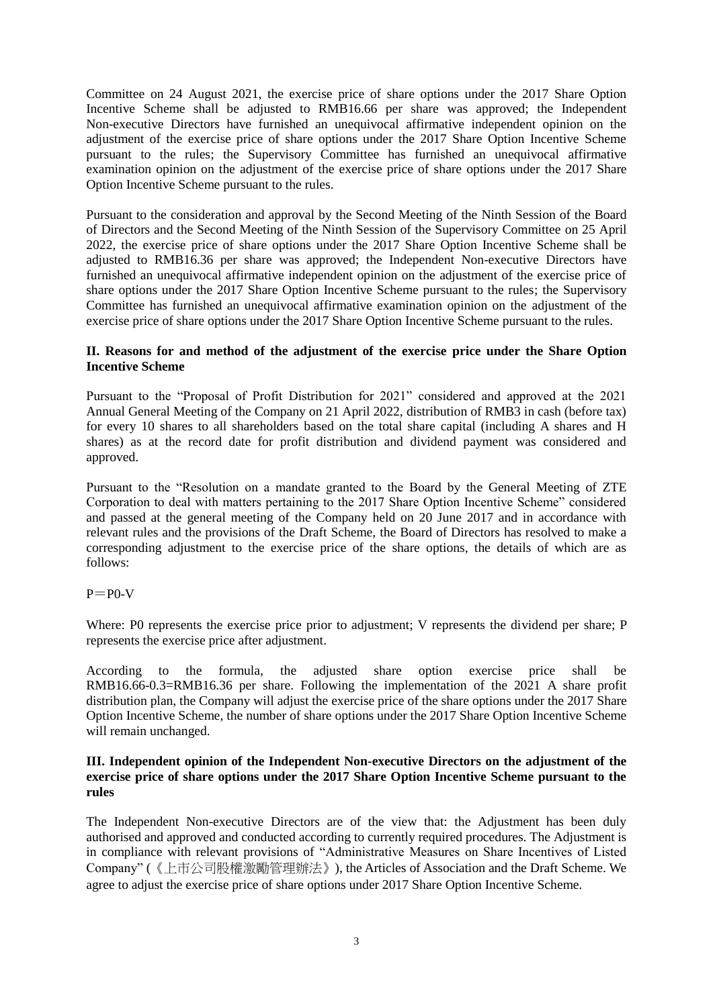Committee on 24 August 2021, the exercise price of share options under the 2017 Share Option Incentive Scheme shall be adjusted to RMB16.66 per share was approved; the Independent Non-executive Directors have furnished an unequivocal affirmative independent opinion on the adjustment of the exercise price of share options under the 2017 Share Option Incentive Scheme pursuant to the rules; the Supervisory Committee has furnished an unequivocal affirmative examination opinion on the adjustment of the exercise price of share options under the 2017 Share Option Incentive Scheme pursuant to the rules.

Pursuant to the consideration and approval by the Second Meeting of the Ninth Session of the Board of Directors and the Second Meeting of the Ninth Session of the Supervisory Committee on 25 April 2022, the exercise price of share options under the 2017 Share Option Incentive Scheme shall be adjusted to RMB16.36 per share was approved; the Independent Non-executive Directors have furnished an unequivocal affirmative independent opinion on the adjustment of the exercise price of share options under the 2017 Share Option Incentive Scheme pursuant to the rules; the Supervisory Committee has furnished an unequivocal affirmative examination opinion on the adjustment of the exercise price of share options under the 2017 Share Option Incentive Scheme pursuant to the rules.

### **II. Reasons for and method of the adjustment of the exercise price under the Share Option Incentive Scheme**

Pursuant to the "Proposal of Profit Distribution for 2021" considered and approved at the 2021 Annual General Meeting of the Company on 21 April 2022, distribution of RMB3 in cash (before tax) for every 10 shares to all shareholders based on the total share capital (including A shares and H shares) as at the record date for profit distribution and dividend payment was considered and approved.

Pursuant to the "Resolution on a mandate granted to the Board by the General Meeting of ZTE Corporation to deal with matters pertaining to the 2017 Share Option Incentive Scheme" considered and passed at the general meeting of the Company held on 20 June 2017 and in accordance with relevant rules and the provisions of the Draft Scheme, the Board of Directors has resolved to make a corresponding adjustment to the exercise price of the share options, the details of which are as follows:

### $P = P0-V$

Where: P0 represents the exercise price prior to adjustment; V represents the dividend per share; P represents the exercise price after adjustment.

According to the formula, the adjusted share option exercise price shall be RMB16.66-0.3=RMB16.36 per share. Following the implementation of the 2021 A share profit distribution plan, the Company will adjust the exercise price of the share options under the 2017 Share Option Incentive Scheme, the number of share options under the 2017 Share Option Incentive Scheme will remain unchanged.

### **III. Independent opinion of the Independent Non-executive Directors on the adjustment of the exercise price of share options under the 2017 Share Option Incentive Scheme pursuant to the rules**

The Independent Non-executive Directors are of the view that: the Adjustment has been duly authorised and approved and conducted according to currently required procedures. The Adjustment is in compliance with relevant provisions of "Administrative Measures on Share Incentives of Listed Company" (《上市公司股權激勵管理辦法》), the Articles of Association and the Draft Scheme. We agree to adjust the exercise price of share options under 2017 Share Option Incentive Scheme.